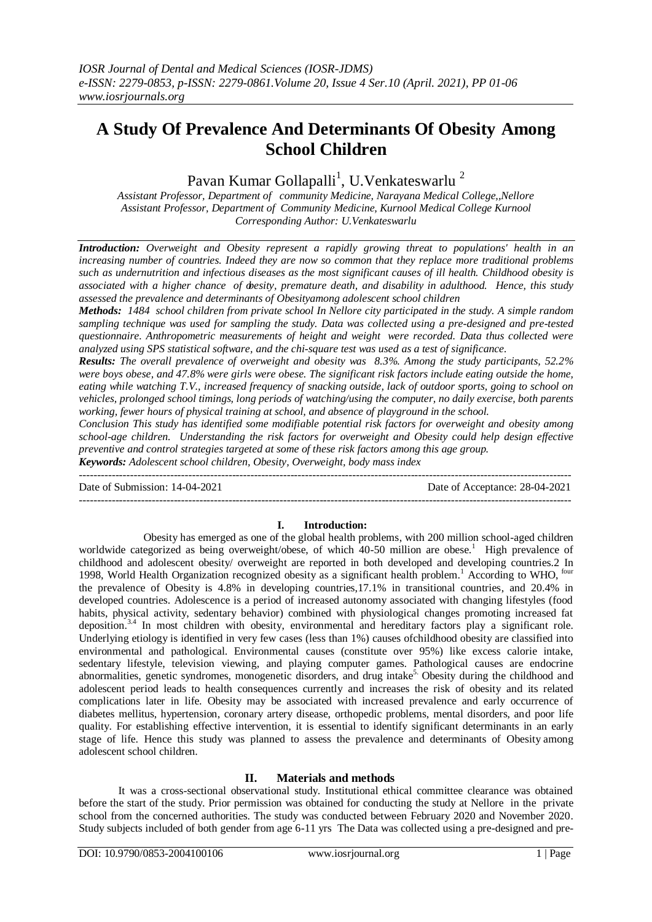# **A Study Of Prevalence And Determinants Of Obesity Among School Children**

## Pavan Kumar Gollapalli $^1$ , U.Venkateswarlu  $^2$

*Assistant Professor, Department of community Medicine, Narayana Medical College,,Nellore Assistant Professor, Department of Community Medicine, Kurnool Medical College Kurnool Corresponding Author: U.Venkateswarlu*

*Introduction: Overweight and Obesity represent a rapidly growing threat to populations' health in an increasing number of countries. Indeed they are now so common that they replace more traditional problems such as undernutrition and infectious diseases as the most significant causes of ill health. Childhood obesity is associated with a higher chance of obesity, premature death, and disability in adulthood. Hence, this study assessed the prevalence and determinants of Obesityamong adolescent school children*

*Methods: 1484 school children from private school In Nellore city participated in the study. A simple random sampling technique was used for sampling the study. Data was collected using a pre-designed and pre-tested questionnaire. Anthropometric measurements of height and weight were recorded. Data thus collected were analyzed using SPS statistical software, and the chi-square test was used as a test of significance.*

*Results: The overall prevalence of overweight and obesity was 8.3%. Among the study participants, 52.2% were boys obese, and 47.8% were girls were obese. The significant risk factors include eating outside the home, eating while watching T.V., increased frequency of snacking outside, lack of outdoor sports, going to school on vehicles, prolonged school timings, long periods of watching/using the computer, no daily exercise, both parents working, fewer hours of physical training at school, and absence of playground in the school.*

*Conclusion This study has identified some modifiable potential risk factors for overweight and obesity among school-age children. Understanding the risk factors for overweight and Obesity could help design effective preventive and control strategies targeted at some of these risk factors among this age group.*

*Keywords: Adolescent school children, Obesity, Overweight, body mass index* ---------------------------------------------------------------------------------------------------------------------------------------

Date of Submission: 14-04-2021 Date of Acceptance: 28-04-2021

#### ---------------------------------------------------------------------------------------------------------------------------------------

#### **I. Introduction:**

Obesity has emerged as one of the global health problems, with 200 million school-aged children worldwide categorized as being overweight/obese, of which 40-50 million are obese.<sup>1</sup> High prevalence of childhood and adolescent obesity/ overweight are reported in both developed and developing countries.2 In 1998, World Health Organization recognized obesity as a significant health problem.<sup>1</sup> According to WHO,  $^{60\text{tr}}$ the prevalence of Obesity is 4.8% in developing countries,17.1% in transitional countries, and 20.4% in developed countries. Adolescence is a period of increased autonomy associated with changing lifestyles (food habits, physical activity, sedentary behavior) combined with physiological changes promoting increased fat deposition.3.4 In most children with obesity, environmental and hereditary factors play a significant role. Underlying etiology is identified in very few cases (less than 1%) causes ofchildhood obesity are classified into environmental and pathological. Environmental causes (constitute over 95%) like excess calorie intake, sedentary lifestyle, television viewing, and playing computer games. Pathological causes are endocrine abnormalities, genetic syndromes, monogenetic disorders, and drug intake<sup>5</sup>. Obesity during the childhood and adolescent period leads to health consequences currently and increases the risk of obesity and its related complications later in life. Obesity may be associated with increased prevalence and early occurrence of diabetes mellitus, hypertension, coronary artery disease, orthopedic problems, mental disorders, and poor life quality. For establishing effective intervention, it is essential to identify significant determinants in an early stage of life. Hence this study was planned to assess the prevalence and determinants of Obesity among adolescent school children.

#### **II. Materials and methods**

It was a cross-sectional observational study. Institutional ethical committee clearance was obtained before the start of the study. Prior permission was obtained for conducting the study at Nellore in the private school from the concerned authorities. The study was conducted between February 2020 and November 2020. Study subjects included of both gender from age 6-11 yrs The Data was collected using a pre-designed and pre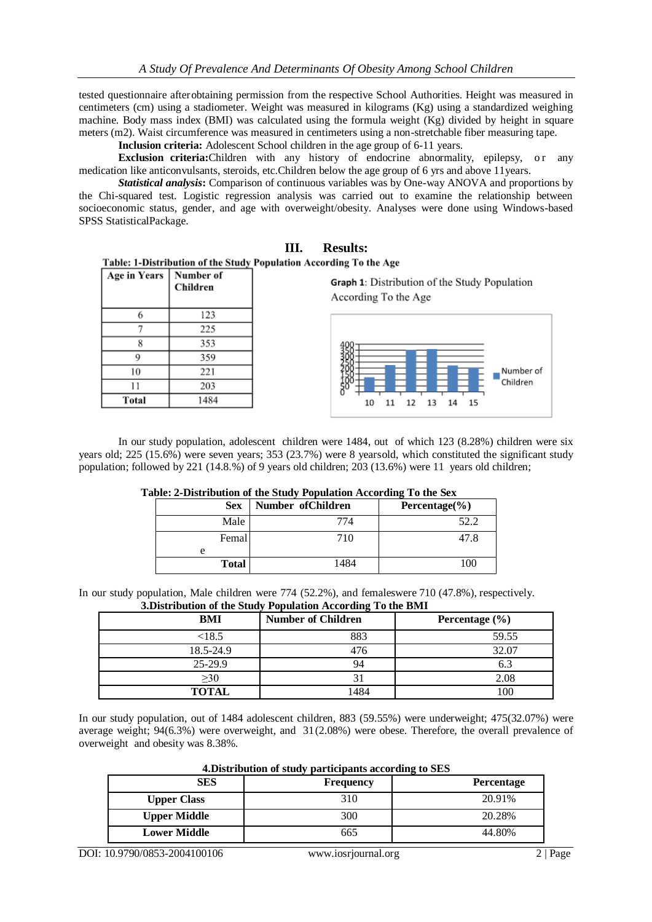tested questionnaire afterobtaining permission from the respective School Authorities. Height was measured in centimeters (cm) using a stadiometer. Weight was measured in kilograms (Kg) using a standardized weighing machine. Body mass index (BMI) was calculated using the formula weight (Kg) divided by height in square meters (m2). Waist circumference was measured in centimeters using a non-stretchable fiber measuring tape.

**Inclusion criteria:** Adolescent School children in the age group of 6-11 years.

**Exclusion criteria:**Children with any history of endocrine abnormality, epilepsy, or any medication like anticonvulsants, steroids, etc.Children below the age group of 6 yrs and above 11years.

*Statistical analysis***:** Comparison of continuous variables was by One-way ANOVA and proportions by the Chi-squared test. Logistic regression analysis was carried out to examine the relationship between socioeconomic status, gender, and age with overweight/obesity. Analyses were done using Windows-based SPSS StatisticalPackage.

### **III. Results:**

Table: 1-Distribution of the Study Population According To the Age

| Age in Years | Number of<br>Children |
|--------------|-----------------------|
| 6            | 123                   |
|              | 225                   |
| 8            | 353                   |
| 9            | 359                   |
| 10           | 221                   |
| 11           | 203                   |
| Total        | 1484                  |

Graph 1: Distribution of the Study Population According To the Age



In our study population, adolescent children were 1484, out of which 123 (8.28%) children were six years old; 225 (15.6%) were seven years; 353 (23.7%) were 8 yearsold, which constituted the significant study population; followed by 221 (14.8.%) of 9 years old children; 203 (13.6%) were 11 years old children;

#### **Table: 2-Distribution of the Study Population According To the Sex**

| <b>Sex</b>   | Number of Children | Percentage $(\% )$ |
|--------------|--------------------|--------------------|
| Male         | 774                | 52.2               |
| Femal        | 710                | 47.8               |
| e            |                    |                    |
| <b>Total</b> | 1484               | 100                |

In our study population, Male children were 774 (52.2%), and femaleswere 710 (47.8%), respectively. **3.Distribution of the Study Population According To the BMI**

| <b>BMI</b>   | <b>Number of Children</b> | Percentage $(\% )$ |
|--------------|---------------------------|--------------------|
| < 18.5       | 883                       | 59.55              |
| 18.5-24.9    | 476                       | 32.07              |
| $25-29.9$    | 94                        | 6.3                |
| $\geq 30$    | 31                        | 2.08               |
| <b>TOTAL</b> | 1484                      | 100                |

In our study population, out of 1484 adolescent children, 883 (59.55%) were underweight; 475(32.07%) were average weight; 94(6.3%) were overweight, and 31(2.08%) were obese. Therefore, the overall prevalence of overweight and obesity was 8.38%.

**4.Distribution of study participants according to SES**

| SES                 | <b>Frequency</b> | <b>Percentage</b> |
|---------------------|------------------|-------------------|
| <b>Upper Class</b>  | 310              | 20.91%            |
| <b>Upper Middle</b> | 300              | 20.28%            |
| <b>Lower Middle</b> | 665              | 44.80%            |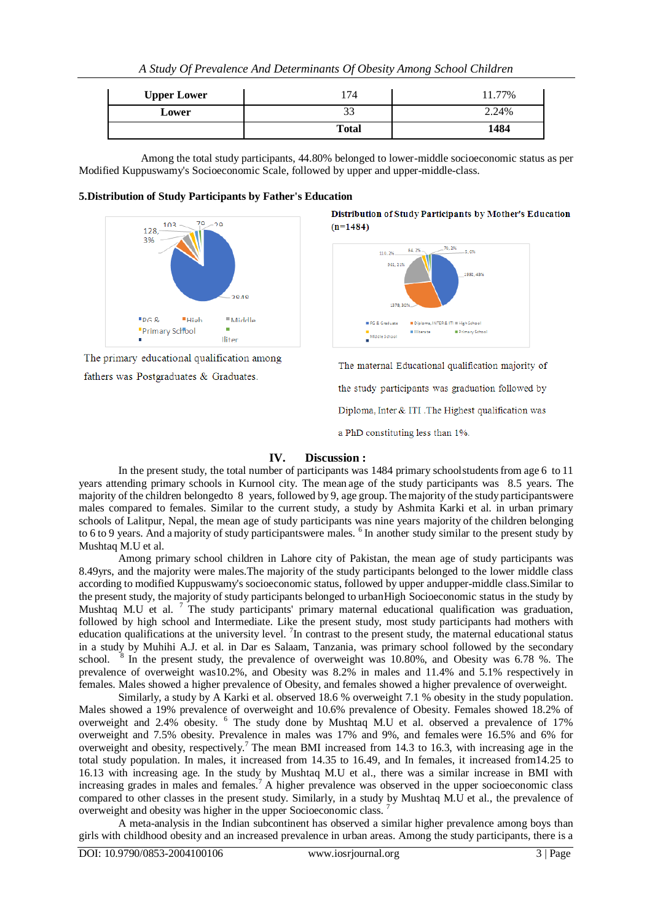| A Study Of Prevalence And Determinants Of Obesity Among School Children |  |  |  |
|-------------------------------------------------------------------------|--|--|--|
|-------------------------------------------------------------------------|--|--|--|

| <b>Upper Lower</b> |              | 77%<br>11. |
|--------------------|--------------|------------|
| Lower              | JJ           | 2.24%      |
|                    | <b>Total</b> | 1484       |

Among the total study participants, 44.80% belonged to lower-middle socioeconomic status as per Modified Kuppuswamy's Socioeconomic Scale, followed by upper and upper-middle-class.

#### **5.Distribution of Study Participants by Father's Education**



The primary educational qualification among fathers was Postgraduates & Graduates.

Distribution of Study Participants by Mother's Education  $(n=1484)$ 



The maternal Educational qualification majority of

the study participants was graduation followed by

Diploma, Inter & ITI .The Highest qualification was

a PhD constituting less than 1%.

#### **IV. Discussion :**

In the present study, the total number of participants was 1484 primary schoolstudents from age 6 to 11 years attending primary schools in Kurnool city. The mean age of the study participants was 8.5 years. The majority of the children belongedto 8 years, followed by 9, age group. Themajority of the study participantswere males compared to females. Similar to the current study, a study by Ashmita Karki et al. in urban primary schools of Lalitpur, Nepal, the mean age of study participants was nine years majority of the children belonging to 6 to 9 years. And a majority of study participantswere males. <sup>6</sup> In another study similar to the present study by Mushtaq M.U et al.

Among primary school children in Lahore city of Pakistan, the mean age of study participants was 8.49yrs, and the majority were males.The majority of the study participants belonged to the lower middle class according to modified Kuppuswamy's socioeconomic status, followed by upper andupper-middle class.Similar to the present study, the majority of study participants belonged to urbanHigh Socioeconomic status in the study by Mushtaq M.U et al.  $\frac{7}{1}$  The study participants' primary maternal educational qualification was graduation, followed by high school and Intermediate. Like the present study, most study participants had mothers with education qualifications at the university level. <sup>7</sup>In contrast to the present study, the maternal educational status in a study by Muhihi A.J. et al. in Dar es Salaam, Tanzania, was primary school followed by the secondary school.  $8$  In the present study, the prevalence of overweight was 10.80%, and Obesity was 6.78 %. The prevalence of overweight was10.2%, and Obesity was 8.2% in males and 11.4% and 5.1% respectively in females. Males showed a higher prevalence of Obesity, and females showed a higher prevalence of overweight.

Similarly, a study by A Karki et al. observed 18.6 % overweight 7.1 % obesity in the study population. Males showed a 19% prevalence of overweight and 10.6% prevalence of Obesity. Females showed 18.2% of overweight and 2.4% obesity. <sup>6</sup> The study done by Mushtaq M.U et al. observed a prevalence of 17% overweight and 7.5% obesity. Prevalence in males was 17% and 9%, and females were 16.5% and 6% for overweight and obesity, respectively.<sup>7</sup> The mean BMI increased from 14.3 to 16.3, with increasing age in the total study population. In males, it increased from 14.35 to 16.49, and In females, it increased from14.25 to 16.13 with increasing age. In the study by Mushtaq M.U et al., there was a similar increase in BMI with increasing grades in males and females.<sup>7</sup> A higher prevalence was observed in the upper socioeconomic class compared to other classes in the present study. Similarly, in a study by Mushtaq M.U et al., the prevalence of overweight and obesity was higher in the upper Socioeconomic class.

A meta-analysis in the Indian subcontinent has observed a similar higher prevalence among boys than girls with childhood obesity and an increased prevalence in urban areas. Among the study participants, there is a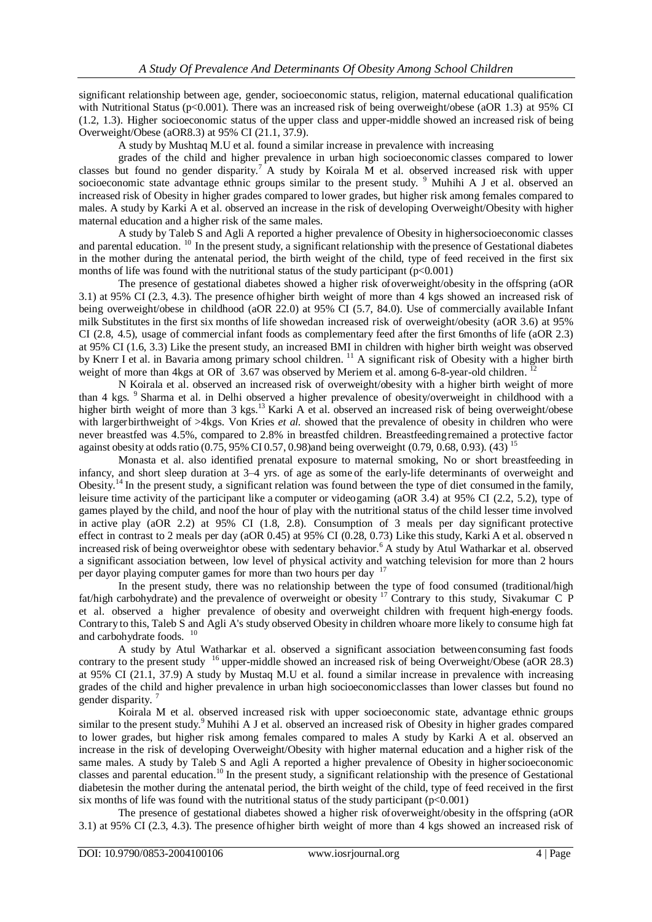significant relationship between age, gender, socioeconomic status, religion, maternal educational qualification with Nutritional Status (p<0.001). There was an increased risk of being overweight/obese (aOR 1.3) at 95% CI (1.2, 1.3). Higher socioeconomic status of the upper class and upper-middle showed an increased risk of being Overweight/Obese (aOR8.3) at 95% CI (21.1, 37.9).

A study by Mushtaq M.U et al. found a similar increase in prevalence with increasing

grades of the child and higher prevalence in urban high socioeconomic classes compared to lower classes but found no gender disparity.<sup>7</sup> A study by Koirala M et al. observed increased risk with upper socioeconomic state advantage ethnic groups similar to the present study. <sup>9</sup> Muhihi A J et al. observed an increased risk of Obesity in higher grades compared to lower grades, but higher risk among females compared to males. A study by Karki A et al. observed an increase in the risk of developing Overweight/Obesity with higher maternal education and a higher risk of the same males.

A study by Taleb S and Agli A reported a higher prevalence of Obesity in highersocioeconomic classes and parental education. <sup>10</sup> In the present study, a significant relationship with the presence of Gestational diabetes in the mother during the antenatal period, the birth weight of the child, type of feed received in the first six months of life was found with the nutritional status of the study participant  $(p<0.001)$ 

The presence of gestational diabetes showed a higher risk ofoverweight/obesity in the offspring (aOR 3.1) at 95% CI (2.3, 4.3). The presence ofhigher birth weight of more than 4 kgs showed an increased risk of being overweight/obese in childhood (aOR 22.0) at 95% CI (5.7, 84.0). Use of commercially available Infant milk Substitutes in the first six months of life showedan increased risk of overweight/obesity (aOR 3.6) at 95% CI (2.8, 4.5), usage of commercial infant foods as complementary feed after the first 6months of life (aOR 2.3) at 95% CI (1.6, 3.3) Like the present study, an increased BMI in children with higher birth weight was observed by Knerr I et al. in Bavaria among primary school children. <sup>11</sup> A significant risk of Obesity with a higher birth weight of more than 4kgs at OR of 3.67 was observed by Meriem et al. among 6-8-year-old children. <sup>12</sup>

N Koirala et al. observed an increased risk of overweight/obesity with a higher birth weight of more than 4 kgs. <sup>9</sup> Sharma et al. in Delhi observed a higher prevalence of obesity/overweight in childhood with a higher birth weight of more than 3 kgs.<sup>13</sup> Karki A et al. observed an increased risk of being overweight/obese with largerbirthweight of >4kgs. Von Kries *et al.* showed that the prevalence of obesity in children who were never breastfed was 4.5%, compared to 2.8% in breastfed children. Breastfeedingremained a protective factor against obesity at odds ratio (0.75, 95% CI 0.57, 0.98)and being overweight (0.79, 0.68, 0.93). (43) <sup>15</sup>

Monasta et al. also identified prenatal exposure to maternal smoking, No or short breastfeeding in infancy, and short sleep duration at 3–4 yrs. of age as some of the early-life determinants of overweight and Obesity.<sup>14</sup> In the present study, a significant relation was found between the type of diet consumed in the family, leisure time activity of the participant like a computer or videogaming (aOR 3.4) at 95% CI (2.2, 5.2), type of games played by the child, and noof the hour of play with the nutritional status of the child lesser time involved in active play (aOR 2.2) at 95% CI (1.8, 2.8). Consumption of 3 meals per day significant protective effect in contrast to 2 meals per day (aOR 0.45) at 95% CI (0.28, 0.73) Like this study, Karki A et al. observed n increased risk of being overweightor obese with sedentary behavior.<sup>6</sup> A study by Atul Watharkar et al. observed a significant association between, low level of physical activity and watching television for more than 2 hours per dayor playing computer games for more than two hours per day <sup>17</sup>

In the present study, there was no relationship between the type of food consumed (traditional/high fat/high carbohydrate) and the prevalence of overweight or obesity <sup>17</sup> Contrary to this study, Sivakumar C P et al. observed a higher prevalence of obesity and overweight children with frequent high-energy foods. Contrary to this, Taleb S and Agli A's study observed Obesity in children whoare more likely to consume high fat and carbohydrate foods. <sup>10</sup>

A study by Atul Watharkar et al. observed a significant association betweenconsuming fast foods contrary to the present study <sup>16</sup> upper-middle showed an increased risk of being Overweight/Obese (aOR 28.3) at 95% CI (21.1, 37.9) A study by Mustaq M.U et al. found a similar increase in prevalence with increasing grades of the child and higher prevalence in urban high socioeconomicclasses than lower classes but found no gender disparity.<sup>7</sup>

Koirala M et al. observed increased risk with upper socioeconomic state, advantage ethnic groups similar to the present study.<sup>9</sup> Muhihi A J et al. observed an increased risk of Obesity in higher grades compared to lower grades, but higher risk among females compared to males A study by Karki A et al. observed an increase in the risk of developing Overweight/Obesity with higher maternal education and a higher risk of the same males. A study by Taleb S and Agli A reported a higher prevalence of Obesity in higher socioeconomic classes and parental education. <sup>10</sup> In the present study, a significant relationship with the presence of Gestational diabetesin the mother during the antenatal period, the birth weight of the child, type of feed received in the first six months of life was found with the nutritional status of the study participant  $(p<0.001)$ 

The presence of gestational diabetes showed a higher risk ofoverweight/obesity in the offspring (aOR 3.1) at 95% CI (2.3, 4.3). The presence ofhigher birth weight of more than 4 kgs showed an increased risk of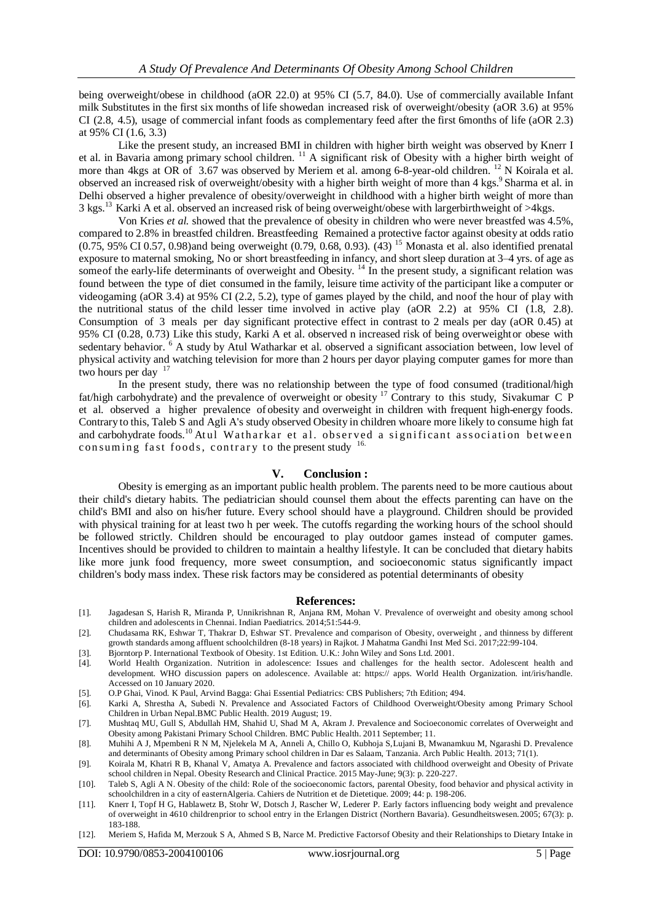being overweight/obese in childhood (aOR 22.0) at 95% CI (5.7, 84.0). Use of commercially available Infant milk Substitutes in the first six months of life showedan increased risk of overweight/obesity (aOR 3.6) at 95% CI (2.8, 4.5), usage of commercial infant foods as complementary feed after the first 6months of life (aOR 2.3) at 95% CI (1.6, 3.3)

Like the present study, an increased BMI in children with higher birth weight was observed by Knerr I et al. in Bavaria among primary school children. <sup>11</sup> A significant risk of Obesity with a higher birth weight of more than 4kgs at OR of 3.67 was observed by Meriem et al. among 6-8-year-old children. <sup>12</sup> N Koirala et al. observed an increased risk of overweight/obesity with a higher birth weight of more than 4 kgs.<sup>9</sup> Sharma et al. in Delhi observed a higher prevalence of obesity/overweight in childhood with a higher birth weight of more than 3 kgs.<sup>13</sup> Karki A et al. observed an increased risk of being overweight/obese with largerbirthweight of >4kgs.

Von Kries *et al.* showed that the prevalence of obesity in children who were never breastfed was 4.5%, compared to 2.8% in breastfed children. Breastfeeding Remained a protective factor against obesity at odds ratio  $(0.75, 95\% \text{ CI } 0.57, 0.98)$ and being overweight  $(0.79, 0.68, 0.93)$ . (43) <sup>15</sup> Monasta et al. also identified prenatal exposure to maternal smoking, No or short breastfeeding in infancy, and short sleep duration at 3–4 yrs. of age as some of the early-life determinants of overweight and Obesity.<sup>14</sup> In the present study, a significant relation was found between the type of diet consumed in the family, leisure time activity of the participant like a computer or videogaming (aOR 3.4) at 95% CI (2.2, 5.2), type of games played by the child, and noof the hour of play with the nutritional status of the child lesser time involved in active play (aOR 2.2) at 95% CI (1.8, 2.8). Consumption of 3 meals per day significant protective effect in contrast to 2 meals per day (aOR 0.45) at 95% CI (0.28, 0.73) Like this study, Karki A et al. observed n increased risk of being overweightor obese with sedentary behavior. <sup>6</sup> A study by Atul Watharkar et al. observed a significant association between, low level of physical activity and watching television for more than 2 hours per dayor playing computer games for more than two hours per day  $17$ 

In the present study, there was no relationship between the type of food consumed (traditional/high fat/high carbohydrate) and the prevalence of overweight or obesity <sup>17</sup> Contrary to this study, Sivakumar C P et al. observed a higher prevalence of obesity and overweight in children with frequent high-energy foods. Contrary to this, Taleb S and Agli A's study observed Obesity in children whoare more likely to consume high fat and carbohydrate foods.<sup>10</sup> Atul Watharkar et al. observed a significant association between consuming fast foods, contrary to the present study <sup>16.</sup>

#### **V. Conclusion :**

Obesity is emerging as an important public health problem. The parents need to be more cautious about their child's dietary habits. The pediatrician should counsel them about the effects parenting can have on the child's BMI and also on his/her future. Every school should have a playground. Children should be provided with physical training for at least two h per week. The cutoffs regarding the working hours of the school should be followed strictly. Children should be encouraged to play outdoor games instead of computer games. Incentives should be provided to children to maintain a healthy lifestyle. It can be concluded that dietary habits like more junk food frequency, more sweet consumption, and socioeconomic status significantly impact children's body mass index. These risk factors may be considered as potential determinants of obesity

#### **References:**

- [1]. Jagadesan S, Harish R, Miranda P, Unnikrishnan R, Anjana RM, Mohan V. Prevalence of overweight and obesity among school children and adolescents in Chennai. Indian Paediatrics. 2014;51:544-9.
- [2]. Chudasama RK, Eshwar T, Thakrar D, Eshwar ST. Prevalence and comparison of Obesity, overweight , and thinness by different growth standards among affluent schoolchildren (8-18 years) in Rajkot. J Mahatma Gandhi Inst Med Sci. 2017;22:99-104.
- [3]. Bjorntorp P. International Textbook of Obesity. 1st Edition. U.K.: John Wiley and Sons Ltd. 2001.
- [4]. World Health Organization. Nutrition in adolescence: Issues and challenges for the health sector. Adolescent health and development. WHO discussion papers on adolescence. Available at: https:// apps. World Health Organization. int/iris/handle. Accessed on 10 January 2020.
- [5]. O.P Ghai, Vinod. K Paul, Arvind Bagga: Ghai Essential Pediatrics: CBS Publishers; 7th Edition; 494.
- [6]. Karki A, Shrestha A, Subedi N. Prevalence and Associated Factors of Childhood Overweight/Obesity among Primary School Children in Urban Nepal.BMC Public Health. 2019 August; 19.
- [7]. Mushtaq MU, Gull S, Abdullah HM, Shahid U, Shad M A, Akram J. Prevalence and Socioeconomic correlates of Overweight and Obesity among Pakistani Primary School Children. BMC Public Health. 2011 September; 11.
- [8]. Muhihi A J, Mpembeni R N M, Njelekela M A, Anneli A, Chillo O, Kubhoja S,Lujani B, Mwanamkuu M, Ngarashi D. Prevalence and determinants of Obesity among Primary school children in Dar es Salaam, Tanzania. Arch Public Health. 2013; 71(1).
- [9]. Koirala M, Khatri R B, Khanal V, Amatya A. Prevalence and factors associated with childhood overweight and Obesity of Private school children in Nepal. Obesity Research and Clinical Practice. 2015 May-June; 9(3): p. 220-227.
- [10]. Taleb S, Agli A N. Obesity of the child: Role of the socioeconomic factors, parental Obesity, food behavior and physical activity in schoolchildren in a city of easternAlgeria. Cahiers de Nutrition et de Dietetique. 2009; 44: p. 198-206.
- [11]. Knerr I, Topf H G, Hablawetz B, Stohr W, Dotsch J, Rascher W, Lederer P. Early factors influencing body weight and prevalence of overweight in 4610 childrenprior to school entry in the Erlangen District (Northern Bavaria). Gesundheitswesen.2005; 67(3): p. 183-188.
- [12]. Meriem S, Hafida M, Merzouk S A, Ahmed S B, Narce M. Predictive Factorsof Obesity and their Relationships to Dietary Intake in